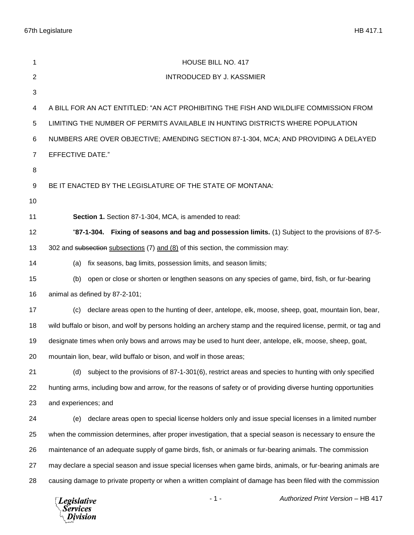67th Legislature HB 417.1

| 1              | HOUSE BILL NO. 417                                                                                               |
|----------------|------------------------------------------------------------------------------------------------------------------|
| $\overline{c}$ | <b>INTRODUCED BY J. KASSMIER</b>                                                                                 |
| 3              |                                                                                                                  |
| 4              | A BILL FOR AN ACT ENTITLED: "AN ACT PROHIBITING THE FISH AND WILDLIFE COMMISSION FROM                            |
| 5              | LIMITING THE NUMBER OF PERMITS AVAILABLE IN HUNTING DISTRICTS WHERE POPULATION                                   |
| 6              | NUMBERS ARE OVER OBJECTIVE; AMENDING SECTION 87-1-304, MCA; AND PROVIDING A DELAYED                              |
| $\overline{7}$ | <b>EFFECTIVE DATE."</b>                                                                                          |
| 8              |                                                                                                                  |
| 9              | BE IT ENACTED BY THE LEGISLATURE OF THE STATE OF MONTANA:                                                        |
| 10             |                                                                                                                  |
| 11             | Section 1. Section 87-1-304, MCA, is amended to read:                                                            |
| 12             | "87-1-304. Fixing of seasons and bag and possession limits. (1) Subject to the provisions of 87-5-               |
| 13             | 302 and subsection subsections (7) and (8) of this section, the commission may:                                  |
| 14             | fix seasons, bag limits, possession limits, and season limits;<br>(a)                                            |
| 15             | open or close or shorten or lengthen seasons on any species of game, bird, fish, or fur-bearing<br>(b)           |
| 16             | animal as defined by 87-2-101;                                                                                   |
| 17             | declare areas open to the hunting of deer, antelope, elk, moose, sheep, goat, mountain lion, bear,<br>(c)        |
| 18             | wild buffalo or bison, and wolf by persons holding an archery stamp and the required license, permit, or tag and |
| 19             | designate times when only bows and arrows may be used to hunt deer, antelope, elk, moose, sheep, goat,           |
| 20             | mountain lion, bear, wild buffalo or bison, and wolf in those areas;                                             |
| 21             | subject to the provisions of 87-1-301(6), restrict areas and species to hunting with only specified<br>(d)       |
| 22             | hunting arms, including bow and arrow, for the reasons of safety or of providing diverse hunting opportunities   |
| 23             | and experiences; and                                                                                             |
| 24             | declare areas open to special license holders only and issue special licenses in a limited number<br>(e)         |
| 25             | when the commission determines, after proper investigation, that a special season is necessary to ensure the     |
| 26             | maintenance of an adequate supply of game birds, fish, or animals or fur-bearing animals. The commission         |
| 27             | may declare a special season and issue special licenses when game birds, animals, or fur-bearing animals are     |
| 28             | causing damage to private property or when a written complaint of damage has been filed with the commission      |
|                | Authorized Print Version - HB 417<br>$-1-$<br><b>Legislative</b><br><b>Services</b><br>Division                  |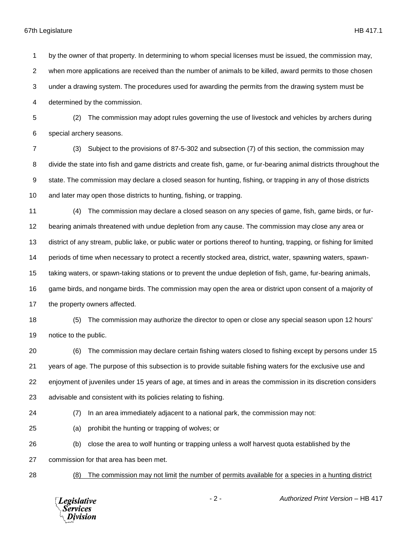## 67th Legislature HB 417.1

 by the owner of that property. In determining to whom special licenses must be issued, the commission may, when more applications are received than the number of animals to be killed, award permits to those chosen under a drawing system. The procedures used for awarding the permits from the drawing system must be determined by the commission. (2) The commission may adopt rules governing the use of livestock and vehicles by archers during special archery seasons. (3) Subject to the provisions of 87-5-302 and subsection (7) of this section, the commission may divide the state into fish and game districts and create fish, game, or fur-bearing animal districts throughout the state. The commission may declare a closed season for hunting, fishing, or trapping in any of those districts and later may open those districts to hunting, fishing, or trapping. (4) The commission may declare a closed season on any species of game, fish, game birds, or fur- bearing animals threatened with undue depletion from any cause. The commission may close any area or district of any stream, public lake, or public water or portions thereof to hunting, trapping, or fishing for limited periods of time when necessary to protect a recently stocked area, district, water, spawning waters, spawn- taking waters, or spawn-taking stations or to prevent the undue depletion of fish, game, fur-bearing animals, game birds, and nongame birds. The commission may open the area or district upon consent of a majority of the property owners affected. (5) The commission may authorize the director to open or close any special season upon 12 hours' notice to the public.

 (6) The commission may declare certain fishing waters closed to fishing except by persons under 15 years of age. The purpose of this subsection is to provide suitable fishing waters for the exclusive use and enjoyment of juveniles under 15 years of age, at times and in areas the commission in its discretion considers advisable and consistent with its policies relating to fishing.

(7) In an area immediately adjacent to a national park, the commission may not:

(a) prohibit the hunting or trapping of wolves; or

(b) close the area to wolf hunting or trapping unless a wolf harvest quota established by the

commission for that area has been met.

(8) The commission may not limit the number of permits available for a species in a hunting district